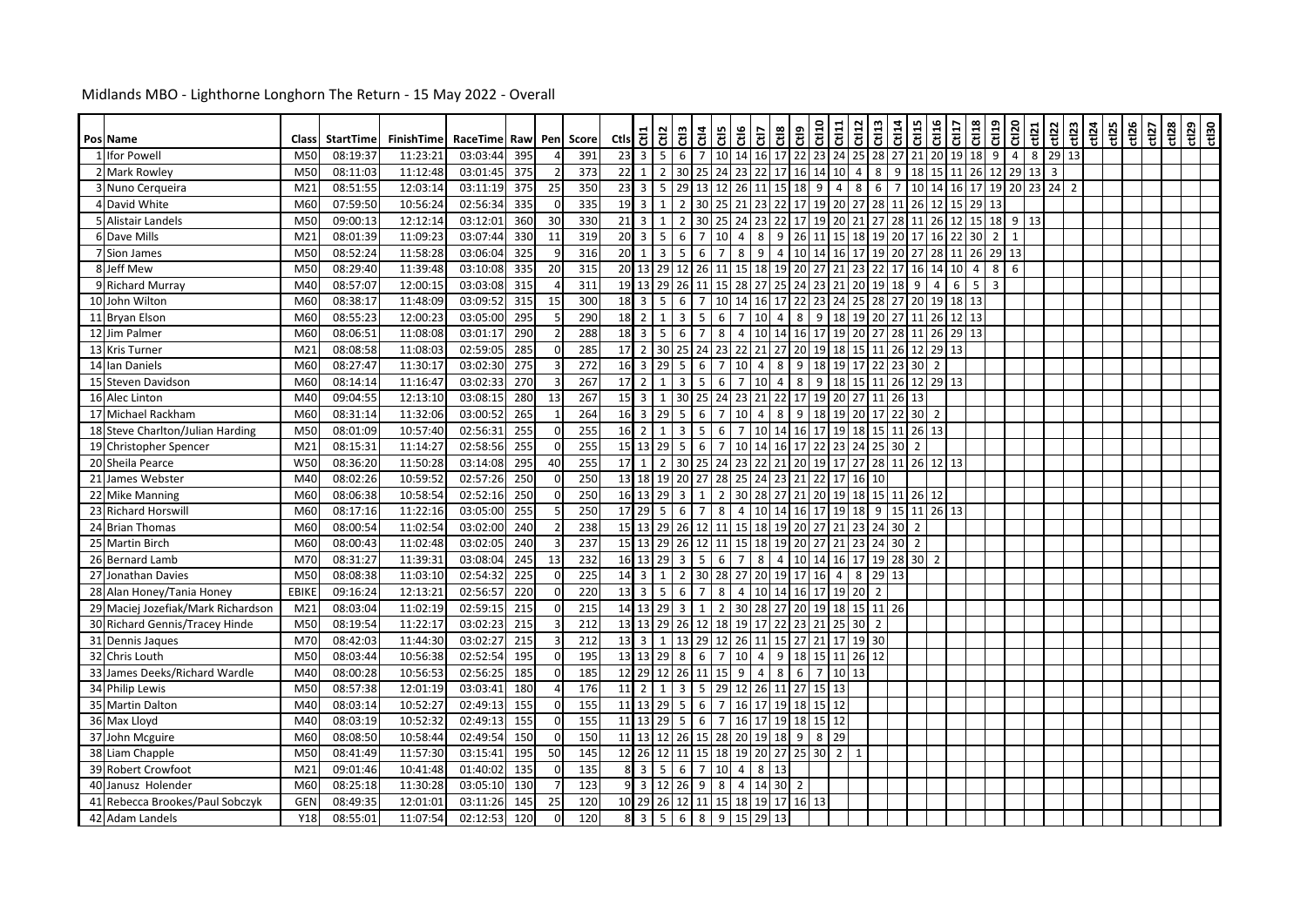| Pos Name                           | Class           | <b>StartTime</b> | FinishTime | RaceTime Raw |     |          | Pen Score | ctls 등                     |                 | $\frac{2}{5}$                | ឌឹ             | $rac{at}{at}$       | Ctl6                              |                | 명 명             | 융                                                       | ct120          | $rac{11}{\text{cm}^2}$ | C113                 | Ct114                            | ct15                 | C116             | ct17     | Ct118          | C119 | Ct120          | ct121       | ctl22 | $\frac{\text{ct123}}{\text{ct124}}$ | ct125 | ct126 | ct127 | $ct128$ | $\frac{129}{150}$ |  |
|------------------------------------|-----------------|------------------|------------|--------------|-----|----------|-----------|----------------------------|-----------------|------------------------------|----------------|---------------------|-----------------------------------|----------------|-----------------|---------------------------------------------------------|----------------|------------------------|----------------------|----------------------------------|----------------------|------------------|----------|----------------|------|----------------|-------------|-------|-------------------------------------|-------|-------|-------|---------|-------------------|--|
| 1 Ifor Powell                      | M50             | 08:19:37         | 11:23:21   | 03:03:44     | 395 |          | 391       | 23                         | $\overline{3}$  | 5 <sub>1</sub>               | 6              | $7^{\circ}$         | 10 14 16 17 22 23                 |                |                 |                                                         |                |                        |                      |                                  | 24 25 28 27 21       |                  |          | 20 19 18 9     |      | $\overline{4}$ | 8           | 29 13 |                                     |       |       |       |         |                   |  |
| 2 Mark Rowley                      | M50             | 08:11:03         | 11:12:48   | 03:01:45     | 375 |          | 373       | 22                         | 1               | $2 \mid 30$                  |                | 24<br>25            | 23                                |                | 22 17           | 16 14                                                   |                | 10                     | $\overline{4}$       | 8<br>9                           | 18                   | $15$   11        |          | 26             | 12   | 29             | $13 \mid 3$ |       |                                     |       |       |       |         |                   |  |
| 3 Nuno Cerqueira                   | M <sub>21</sub> | 08:51:55         | 12:03:14   | 03:11:19     | 375 | 25       | 350       | 23                         | $\overline{3}$  | 5 <sup>1</sup>               | 29             | 13                  | 12                                |                |                 | 26 11 15 18 9                                           |                | $\overline{4}$         | 8                    | 6 <sup>1</sup><br>$\overline{7}$ | 10                   | 14 16            |          | 17             |      | 19 20 23 24    |             |       | $\overline{2}$                      |       |       |       |         |                   |  |
| 4 David White                      | M60             | 07:59:50         | 10:56:24   | 02:56:34     | 335 | $\Omega$ | 335       | $19 \mid 3$                |                 | $1 \mid 2$                   |                | 30<br>25            | 21                                |                |                 | 23 22 17 19                                             |                | 20 27                  |                      |                                  | 28 11 26             | $12$ $15$        |          | 29 13          |      |                |             |       |                                     |       |       |       |         |                   |  |
| 5 Alistair Landels                 | M50             | 09:00:13         | 12:12:14   | 03:12:01     | 360 | 30       | 330       | 21                         | $\overline{3}$  | $\mathbf{1}$                 | $\overline{2}$ | 30<br>25            |                                   |                |                 | 24 23 22 17 19                                          |                | $20$ 21                | 27                   |                                  | 28 11 26 12          |                  |          |                |      | 15 18 9 13     |             |       |                                     |       |       |       |         |                   |  |
| 6 Dave Mills                       | M <sub>21</sub> | 08:01:39         | 11:09:23   | 03:07:44     | 330 | 11       | 319       | 20                         | $\overline{3}$  | 5 <sub>1</sub>               | 6              | $\overline{7}$      | 10<br>$\overline{4}$              | 8              |                 | 9   26   11   15   18   19   20   17   16   22   30   2 |                |                        |                      |                                  |                      |                  |          |                |      | 1              |             |       |                                     |       |       |       |         |                   |  |
| 7 Sion James                       | M50             | 08:52:24         | 11:58:28   | 03:06:04     | 325 |          | 316       | 20                         | 1               | $\overline{\mathbf{3}}$      | 5 <sup>1</sup> | 6                   | $\overline{7}$<br>8               | 9              |                 | 4 10 14                                                 |                | 16 17                  |                      |                                  | 19 20 27 28 11       |                  |          | 26             | 29   | 13             |             |       |                                     |       |       |       |         |                   |  |
| 8 Jeff Mew                         | M50             | 08:29:40         | 11:39:48   | 03:10:08     | 335 | 20       | 315       | 20 13                      |                 | 29                           | 12             | 26 11               |                                   |                |                 | 15 18 19 20 27                                          |                | 21                     | 23<br>22             |                                  | 17 16                | 14 10            |          | $\overline{4}$ | 8    | 6              |             |       |                                     |       |       |       |         |                   |  |
| 9 Richard Murray                   | M40             | 08:57:07         | 12:00:15   | 03:03:08     | 315 |          | 311       |                            |                 | 19 13 29 26                  |                | 11 15               |                                   |                |                 | 28 27 25 24 23                                          |                |                        |                      |                                  | 21 20 19 18 9        | $4 \overline{ }$ | 6        | $5 \mid 3$     |      |                |             |       |                                     |       |       |       |         |                   |  |
| 10 John Wilton                     | M60             | 08:38:17         | 11:48:09   | 03:09:52     | 315 | 15       | 300       | 18                         | $\overline{3}$  | 5 <sup>1</sup>               | 6              | $\overline{7}$      | 10 14                             |                | 16 17           | 22 23                                                   |                | 24                     | 25<br>28             | 27                               | 20                   | 19 18            |          | 13             |      |                |             |       |                                     |       |       |       |         |                   |  |
| 11 Bryan Elson                     | M60             | 08:55:23         | 12:00:23   | 03:05:00     | 295 |          | 290       | 18                         | 2 <sup>1</sup>  | $1 \vert 3$                  |                | 5 <sub>1</sub>      | 6<br>$7^{\circ}$                  |                | 10 4            | $8 \mid 9$                                              |                |                        |                      |                                  | 18 19 20 27 11       |                  | 26 12 13 |                |      |                |             |       |                                     |       |       |       |         |                   |  |
| 12 Jim Palmer                      | M60             | 08:06:51         | 11:08:08   | 03:01:17     | 290 |          | 288       | 18                         | $\overline{3}$  | 5 <sub>1</sub>               | 6              | $\overline{7}$<br>8 | $\overline{4}$                    |                |                 | 10 14 16 17                                             |                |                        |                      |                                  | 19 20 27 28 11       |                  | 26 29 13 |                |      |                |             |       |                                     |       |       |       |         |                   |  |
| 13 Kris Turner                     | M <sub>21</sub> | 08:08:58         | 11:08:03   | 02:59:05     | 285 |          | 285       | 17                         |                 | 2 30 25                      |                | 23<br>24            |                                   |                | 22 21 27        | 20 19                                                   |                | 18 15 11               |                      |                                  | 26 12 29 13          |                  |          |                |      |                |             |       |                                     |       |       |       |         |                   |  |
| 14 Ian Daniels                     | M60             | 08:27:47         | 11:30:17   | 03:02:30     | 275 |          | 272       |                            |                 | 16 3 29 5                    |                | 6                   | $\overline{7}$<br>10 <sup>1</sup> | $\overline{4}$ | 8               | $9 \mid 18$                                             |                |                        |                      |                                  | 19 17 22 23 30       | $\overline{2}$   |          |                |      |                |             |       |                                     |       |       |       |         |                   |  |
| 15 Steven Davidson                 | M60             | 08:14:14         | 11:16:47   | 03:02:33     | 270 |          | 267       | 17                         | $\overline{2}$  | $1\phantom{.0}$              | 3              | 5                   | 6<br>$\overline{7}$               |                | 10 <sup>1</sup> | 89                                                      |                | 18 15 11               |                      |                                  | 26 12 29 13          |                  |          |                |      |                |             |       |                                     |       |       |       |         |                   |  |
| 16 Alec Linton                     | M40             | 09:04:55         | 12:13:10   | 03:08:15     | 280 | 13       | 267       | 15                         | $\overline{3}$  | $1\phantom{.0}$              | 30             | 25                  | 24                                | 23 21          |                 | 22 17 19                                                |                | 20 27 11               |                      |                                  | 26 13                |                  |          |                |      |                |             |       |                                     |       |       |       |         |                   |  |
| 17 Michael Rackham                 | M60             | 08:31:14         | 11:32:06   | 03:00:52     | 265 |          | 264       | $16 \overline{\smash{)}3}$ |                 | 29                           | $5^{\circ}$    | 6                   | $\overline{7}$<br>10              | $\overline{4}$ | 8               | $9 \mid 18$                                             |                | 19                     |                      |                                  | 20 17 22 30          | $\overline{2}$   |          |                |      |                |             |       |                                     |       |       |       |         |                   |  |
| 18 Steve Charlton/Julian Harding   | M50             | 08:01:09         | 10:57:40   | 02:56:31     | 255 |          | 255       | 16                         | $\overline{2}$  | $1\phantom{0}$               | $\overline{3}$ | 5                   | 6<br>$\overline{7}$               |                |                 | 10 14 16 17                                             |                |                        |                      |                                  | 19 18 15 11 26 13    |                  |          |                |      |                |             |       |                                     |       |       |       |         |                   |  |
| 19 Christopher Spencer             | M <sub>21</sub> | 08:15:31         | 11:14:27   | 02:58:56     | 255 | $\Omega$ | 255       |                            |                 | 15 13 29 5                   |                | 6                   | $\overline{7}$                    |                |                 | 10 14 16 17 22 23 24 25 30 2                            |                |                        |                      |                                  |                      |                  |          |                |      |                |             |       |                                     |       |       |       |         |                   |  |
| 20 Sheila Pearce                   | W50             | 08:36:20         | 11:50:28   | 03:14:08     | 295 | 40       | 255       | 17                         | 1               | $2 \overline{30}$            |                | 25<br>24            |                                   |                |                 | 23 22 21 20 19                                          |                |                        |                      |                                  | 17 27 28 11 26 12 13 |                  |          |                |      |                |             |       |                                     |       |       |       |         |                   |  |
| 21 James Webster                   | M40             | 08:02:26         | 10:59:52   | 02:57:26     | 250 |          | 250       | 13 18                      |                 | 19 20                        |                | 27                  | 28 25 24 23                       |                |                 | 21 22                                                   |                | 17                     | 16<br>10             |                                  |                      |                  |          |                |      |                |             |       |                                     |       |       |       |         |                   |  |
| 22 Mike Manning                    | M60             | 08:06:38         | 10:58:54   | 02:52:16     | 250 |          | 250       |                            |                 | 16 13 29 3                   |                | $\overline{2}$<br>1 |                                   |                |                 | 30 28 27 21 20                                          |                |                        |                      |                                  | 19 18 15 11 26 12    |                  |          |                |      |                |             |       |                                     |       |       |       |         |                   |  |
| 23 Richard Horswill                | M60             | 08:17:16         | 11:22:16   | 03:05:00     | 255 |          | 250       | 17 29                      |                 | 5 <sub>5</sub>               | 6              | 8<br>$\overline{7}$ |                                   |                |                 | 4 10 14 16 17                                           |                |                        |                      |                                  | 19 18 9 15 11 26 13  |                  |          |                |      |                |             |       |                                     |       |       |       |         |                   |  |
| 24 Brian Thomas                    | M60             | 08:00:54         | 11:02:54   | 03:02:00     | 240 |          | 238       |                            |                 | 15 13 29 26                  |                |                     | 12 11 15 18 19 20 27              |                |                 |                                                         |                |                        |                      | 21 23 24 30 2                    |                      |                  |          |                |      |                |             |       |                                     |       |       |       |         |                   |  |
| 25 Martin Birch                    | M60             | 08:00:43         | 11:02:48   | 03:02:05     | 240 |          | 237       | 15 13                      |                 | 29                           | 26             | 12 11               | 15                                |                |                 | 18 19 20 27                                             |                |                        |                      | 21 23 24 30 2                    |                      |                  |          |                |      |                |             |       |                                     |       |       |       |         |                   |  |
| 26 Bernard Lamb                    | M70             | 08:31:27         | 11:39:31   | 03:08:04     | 245 | 13       | 232       |                            |                 | 16 13 29 3                   |                | 5 <sub>5</sub>      | 6<br>$7^{\circ}$                  | $\bf 8$        |                 | 4 10 14 16 17 19 28 30 2                                |                |                        |                      |                                  |                      |                  |          |                |      |                |             |       |                                     |       |       |       |         |                   |  |
| 27 Jonathan Davies                 | M50             | 08:08:38         | 11:03:10   | 02:54:32     | 225 | $\Omega$ | 225       | $14 \overline{\smash{)}3}$ |                 | $1 \mid 2$                   |                |                     | 30 28 27 20 19 17 16              |                |                 |                                                         |                | $4 \mid$               | $\infty$             | 29 13                            |                      |                  |          |                |      |                |             |       |                                     |       |       |       |         |                   |  |
| 28 Alan Honey/Tania Honey          | <b>EBIKE</b>    | 09:16:24         | 12:13:21   | 02:56:57     | 220 |          | 220       | 13                         | $\overline{3}$  | 5 <sub>5</sub>               | 6              | $\overline{7}$<br>8 | $\overline{4}$                    |                |                 | 10 14 16 17                                             |                | 19                     | 20<br>$\overline{2}$ |                                  |                      |                  |          |                |      |                |             |       |                                     |       |       |       |         |                   |  |
| 29 Maciej Jozefiak/Mark Richardson | M <sub>21</sub> | 08:03:04         | 11:02:19   | 02:59:15     | 215 |          | 215       | 14 13                      |                 | $29 \overline{\phantom{0}3}$ |                | $\mathbf{1}$        | $\overline{2}$                    |                |                 | 30 28 27 20 19                                          |                |                        |                      | 18 15 11 26                      |                      |                  |          |                |      |                |             |       |                                     |       |       |       |         |                   |  |
| 30 Richard Gennis/Tracey Hinde     | M50             | 08:19:54         | 11:22:17   | 03:02:23     | 215 |          | 212       | 13 13                      |                 | 29 26                        |                | 12                  | 18 19 17 22 23 21                 |                |                 |                                                         |                | 25                     | $30\overline{2}$     |                                  |                      |                  |          |                |      |                |             |       |                                     |       |       |       |         |                   |  |
| 31 Dennis Jaques                   | M70             | 08:42:03         | 11:44:30   | 03:02:27     | 215 |          | 212       | 13                         | $\overline{3}$  | $1 \mid$                     |                |                     | 13 29 12 26 11 15 27 21           |                |                 |                                                         |                | 17                     | 19 30                |                                  |                      |                  |          |                |      |                |             |       |                                     |       |       |       |         |                   |  |
| 32 Chris Louth                     | M50             | 08:03:44         | 10:56:38   | 02:52:54     | 195 |          | 195       |                            | 13 13           | <b>29</b>                    | 8              | 6                   | $7^{\circ}$<br>10 <sup>1</sup>    |                |                 | 4 9 18 15                                               |                | 11 26 12               |                      |                                  |                      |                  |          |                |      |                |             |       |                                     |       |       |       |         |                   |  |
| 33 James Deeks/Richard Wardle      | M40             | 08:00:28         | 10:56:53   | 02:56:25     | 185 |          | 185       | 12 29                      |                 | 12                           | 26             | 15<br>11            | 9                                 | $\overline{4}$ | 8               | 6                                                       | $\overline{7}$ | 13<br>10               |                      |                                  |                      |                  |          |                |      |                |             |       |                                     |       |       |       |         |                   |  |
| 34 Philip Lewis                    | M50             | 08:57:38         | 12:01:19   | 03:03:41     | 180 |          | 176       | 11                         | $\overline{2}$  | $1 \vert 3$                  |                |                     | 5 29 12 26 11 27 15 13            |                |                 |                                                         |                |                        |                      |                                  |                      |                  |          |                |      |                |             |       |                                     |       |       |       |         |                   |  |
| 35 Martin Dalton                   | M40             | 08:03:14         | 10:52:27   | 02:49:13     | 155 |          | 155       | 11 13                      |                 | 29 <sub>5</sub>              |                | 6<br>$\overline{7}$ |                                   |                |                 | 16 17 19 18 15                                          |                | 12                     |                      |                                  |                      |                  |          |                |      |                |             |       |                                     |       |       |       |         |                   |  |
| 36 Max Lloyd                       | M40             | 08:03:19         | 10:52:32   | 02:49:13     | 155 |          | 155       |                            |                 | 11 13 29                     | 5              | 6                   | $\overline{7}$                    |                |                 | 16 17 19 18 15                                          |                | 12                     |                      |                                  |                      |                  |          |                |      |                |             |       |                                     |       |       |       |         |                   |  |
| 37 John Mcguire                    | M60             | 08:08:50         | 10:58:44   | 02:49:54     | 150 | $\Omega$ | 150       |                            | 11 13           | 12 26                        |                |                     | 15 28 20 19 18                    |                |                 | $9$ 8                                                   |                | 29                     |                      |                                  |                      |                  |          |                |      |                |             |       |                                     |       |       |       |         |                   |  |
| 38 Liam Chapple                    | M50             | 08:41:49         | 11:57:30   | 03:15:41     | 195 | 50       | 145       | 12 26                      |                 | 12 11                        |                |                     | 15 18 19 20 27 25 30              |                |                 |                                                         |                | $2^{\circ}$            |                      |                                  |                      |                  |          |                |      |                |             |       |                                     |       |       |       |         |                   |  |
| 39 Robert Crowfoot                 | M <sub>21</sub> | 09:01:46         | 10:41:48   | 01:40:02     | 135 |          | 135       |                            | 8 <sup>3</sup>  | 5 <sub>1</sub>               | 6              |                     | 7 10 4                            |                | 8 13            |                                                         |                |                        |                      |                                  |                      |                  |          |                |      |                |             |       |                                     |       |       |       |         |                   |  |
| 40 Janusz Holender                 | M60             | 08:25:18         | 11:30:28   | 03:05:10     | 130 |          | 123       | 9 <sub>l</sub>             |                 | $3 \mid 12 \mid 26$          |                | 8<br>9              |                                   |                | 4 14 30         | $\overline{2}$                                          |                |                        |                      |                                  |                      |                  |          |                |      |                |             |       |                                     |       |       |       |         |                   |  |
| 41 Rebecca Brookes/Paul Sobczyk    | <b>GEN</b>      | 08:49:35         | 12:01:01   | 03:11:26     | 145 | 25       | 120       |                            |                 |                              |                |                     | 10 29 26 12 11 15 18 19 17 16 13  |                |                 |                                                         |                |                        |                      |                                  |                      |                  |          |                |      |                |             |       |                                     |       |       |       |         |                   |  |
| 42 Adam Landels                    | Y18             | 08:55:01         | 11:07:54   | 02:12:53     | 120 | $\Omega$ | 120       |                            | $8 \mid 3 \mid$ | $5 \mid 6$                   |                |                     | 8 9 15 29 13                      |                |                 |                                                         |                |                        |                      |                                  |                      |                  |          |                |      |                |             |       |                                     |       |       |       |         |                   |  |

## Midlands MBO - Lighthorne Longhorn The Return - 15 May 2022 - Overall